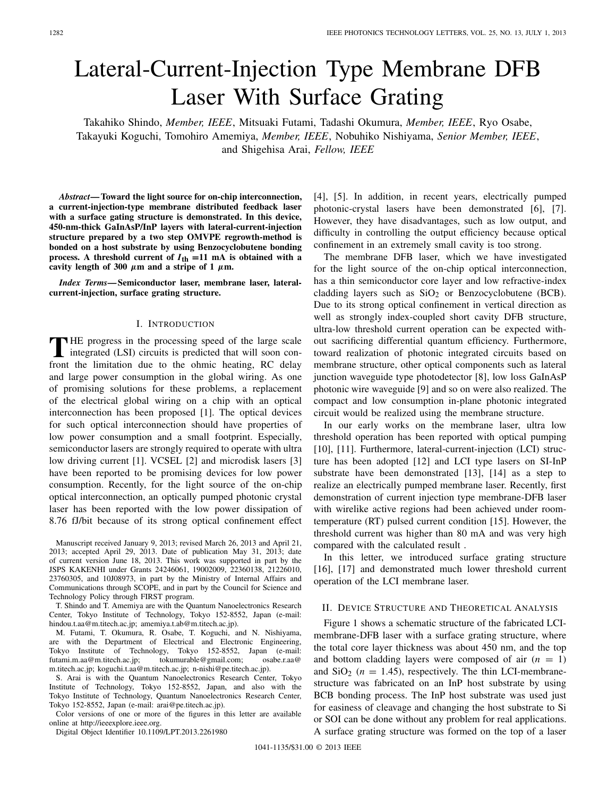# Lateral-Current-Injection Type Membrane DFB Laser With Surface Grating

Takahiko Shindo, *Member, IEEE*, Mitsuaki Futami, Tadashi Okumura, *Member, IEEE*, Ryo Osabe, Takayuki Koguchi, Tomohiro Amemiya, *Member, IEEE*, Nobuhiko Nishiyama, *Senior Member, IEEE*, and Shigehisa Arai, *Fellow, IEEE*

*Abstract***— Toward the light source for on-chip interconnection, a current-injection-type membrane distributed feedback laser with a surface gating structure is demonstrated. In this device, 450-nm-thick GaInAsP/InP layers with lateral-current-injection structure prepared by a two step OMVPE regrowth-method is bonded on a host substrate by using Benzocyclobutene bonding process.** A threshold current of  $I_{th} = 11$  mA is obtained with a cavity length of 300  $\mu$ m and a stripe of 1  $\mu$ m.

*Index Terms***— Semiconductor laser, membrane laser, lateralcurrent-injection, surface grating structure.**

#### I. INTRODUCTION

**T**HE progress in the processing speed of the large scale integrated (LSI) circuits is predicted that will soon confront the limitation due to the ohmic heating, RC delay and large power consumption in the global wiring. As one of promising solutions for these problems, a replacement of the electrical global wiring on a chip with an optical interconnection has been proposed [1]. The optical devices for such optical interconnection should have properties of low power consumption and a small footprint. Especially, semiconductor lasers are strongly required to operate with ultra low driving current [1]. VCSEL [2] and microdisk lasers [3] have been reported to be promising devices for low power consumption. Recently, for the light source of the on-chip optical interconnection, an optically pumped photonic crystal laser has been reported with the low power dissipation of 8.76 fJ/bit because of its strong optical confinement effect

Manuscript received January 9, 2013; revised March 26, 2013 and April 21, 2013; accepted April 29, 2013. Date of publication May 31, 2013; date of current version June 18, 2013. This work was supported in part by the JSPS KAKENHI under Grants 24246061, 19002009, 22360138, 21226010, 23760305, and 10J08973, in part by the Ministry of Internal Affairs and Communications through SCOPE, and in part by the Council for Science and Technology Policy through FIRST program.

T. Shindo and T. Amemiya are with the Quantum Nanoelectronics Research Center, Tokyo Institute of Technology, Tokyo 152-8552, Japan (e-mail: hindou.t.aa@m.titech.ac.jp; amemiya.t.ab@m.titech.ac.jp).

M. Futami, T. Okumura, R. Osabe, T. Koguchi, and N. Nishiyama, are with the Department of Electrical and Electronic Engineering, Tokyo Institute of Technology, Tokyo 152-8552, Japan (e-mail: futami.m.aa@m.titech.ac.jp; tokumurable@gmail.com; osabe.r.aa@ m.titech.ac.jp; koguchi.t.aa@m.titech.ac.jp; n-nishi@pe.titech.ac.jp).

S. Arai is with the Quantum Nanoelectronics Research Center, Tokyo Institute of Technology, Tokyo 152-8552, Japan, and also with the Tokyo Institute of Technology, Quantum Nanoelectronics Research Center, Tokyo 152-8552, Japan (e-mail: arai@pe.titech.ac.jp).

Color versions of one or more of the figures in this letter are available online at http://ieeexplore.ieee.org.

Digital Object Identifier 10.1109/LPT.2013.2261980

[4], [5]. In addition, in recent years, electrically pumped photonic-crystal lasers have been demonstrated [6], [7]. However, they have disadvantages, such as low output, and difficulty in controlling the output efficiency because optical confinement in an extremely small cavity is too strong.

The membrane DFB laser, which we have investigated for the light source of the on-chip optical interconnection, has a thin semiconductor core layer and low refractive-index cladding layers such as  $SiO<sub>2</sub>$  or Benzocyclobutene (BCB). Due to its strong optical confinement in vertical direction as well as strongly index-coupled short cavity DFB structure, ultra-low threshold current operation can be expected without sacrificing differential quantum efficiency. Furthermore, toward realization of photonic integrated circuits based on membrane structure, other optical components such as lateral junction waveguide type photodetector [8], low loss GaInAsP photonic wire waveguide [9] and so on were also realized. The compact and low consumption in-plane photonic integrated circuit would be realized using the membrane structure.

In our early works on the membrane laser, ultra low threshold operation has been reported with optical pumping [10], [11]. Furthermore, lateral-current-injection (LCI) structure has been adopted [12] and LCI type lasers on SI-InP substrate have been demonstrated [13], [14] as a step to realize an electrically pumped membrane laser. Recently, first demonstration of current injection type membrane-DFB laser with wirelike active regions had been achieved under roomtemperature (RT) pulsed current condition [15]. However, the threshold current was higher than 80 mA and was very high compared with the calculated result .

In this letter, we introduced surface grating structure [16], [17] and demonstrated much lower threshold current operation of the LCI membrane laser.

# II. DEVICE STRUCTURE AND THEORETICAL ANALYSIS

Figure 1 shows a schematic structure of the fabricated LCImembrane-DFB laser with a surface grating structure, where the total core layer thickness was about 450 nm, and the top and bottom cladding layers were composed of air  $(n = 1)$ and  $SiO<sub>2</sub>$  ( $n = 1.45$ ), respectively. The thin LCI-membranestructure was fabricated on an InP host substrate by using BCB bonding process. The InP host substrate was used just for easiness of cleavage and changing the host substrate to Si or SOI can be done without any problem for real applications. A surface grating structure was formed on the top of a laser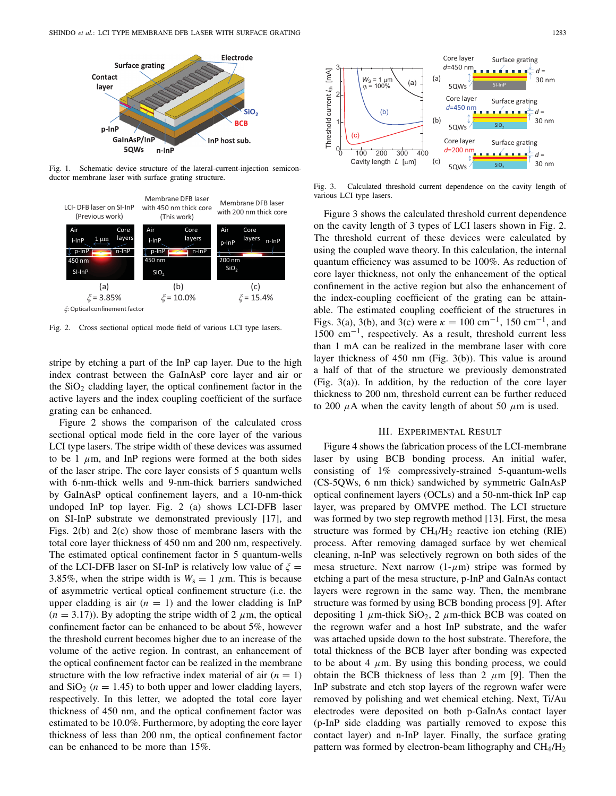

Fig. 1. Schematic device structure of the lateral-current-injection semiconductor membrane laser with surface grating structure.



Fig. 2. Cross sectional optical mode field of various LCI type lasers.

stripe by etching a part of the InP cap layer. Due to the high index contrast between the GaInAsP core layer and air or the  $SiO<sub>2</sub>$  cladding layer, the optical confinement factor in the active layers and the index coupling coefficient of the surface grating can be enhanced.

Figure 2 shows the comparison of the calculated cross sectional optical mode field in the core layer of the various LCI type lasers. The stripe width of these devices was assumed to be 1  $\mu$ m, and InP regions were formed at the both sides of the laser stripe. The core layer consists of 5 quantum wells with 6-nm-thick wells and 9-nm-thick barriers sandwiched by GaInAsP optical confinement layers, and a 10-nm-thick undoped InP top layer. Fig. 2 (a) shows LCI-DFB laser on SI-InP substrate we demonstrated previously [17], and Figs. 2(b) and 2(c) show those of membrane lasers with the total core layer thickness of 450 nm and 200 nm, respectively. The estimated optical confinement factor in 5 quantum-wells of the LCI-DFB laser on SI-InP is relatively low value of  $\xi =$ 3.85%, when the stripe width is  $W_s = 1 \mu m$ . This is because of asymmetric vertical optical confinement structure (i.e. the upper cladding is air  $(n = 1)$  and the lower cladding is InP  $(n = 3.17)$ ). By adopting the stripe width of 2  $\mu$ m, the optical confinement factor can be enhanced to be about 5%, however the threshold current becomes higher due to an increase of the volume of the active region. In contrast, an enhancement of the optical confinement factor can be realized in the membrane structure with the low refractive index material of air  $(n = 1)$ and  $SiO<sub>2</sub>$  ( $n = 1.45$ ) to both upper and lower cladding layers, respectively. In this letter, we adopted the total core layer thickness of 450 nm, and the optical confinement factor was estimated to be 10.0%. Furthermore, by adopting the core layer thickness of less than 200 nm, the optical confinement factor can be enhanced to be more than 15%.



Fig. 3. Calculated threshold current dependence on the cavity length of various LCI type lasers.

Figure 3 shows the calculated threshold current dependence on the cavity length of 3 types of LCI lasers shown in Fig. 2. The threshold current of these devices were calculated by using the coupled wave theory. In this calculation, the internal quantum efficiency was assumed to be 100%. As reduction of core layer thickness, not only the enhancement of the optical confinement in the active region but also the enhancement of the index-coupling coefficient of the grating can be attainable. The estimated coupling coefficient of the structures in Figs. 3(a), 3(b), and 3(c) were  $\kappa = 100 \text{ cm}^{-1}$ , 150 cm<sup>-1</sup>, and 1500 cm−1, respectively. As a result, threshold current less than 1 mA can be realized in the membrane laser with core layer thickness of 450 nm (Fig. 3(b)). This value is around a half of that of the structure we previously demonstrated (Fig. 3(a)). In addition, by the reduction of the core layer thickness to 200 nm, threshold current can be further reduced to 200  $\mu$ A when the cavity length of about 50  $\mu$ m is used.

### III. EXPERIMENTAL RESULT

Figure 4 shows the fabrication process of the LCI-membrane laser by using BCB bonding process. An initial wafer, consisting of 1% compressively-strained 5-quantum-wells (CS-5QWs, 6 nm thick) sandwiched by symmetric GaInAsP optical confinement layers (OCLs) and a 50-nm-thick InP cap layer, was prepared by OMVPE method. The LCI structure was formed by two step regrowth method [13]. First, the mesa structure was formed by  $CH_4/H_2$  reactive ion etching (RIE) process. After removing damaged surface by wet chemical cleaning, n-InP was selectively regrown on both sides of the mesa structure. Next narrow  $(1-\mu m)$  stripe was formed by etching a part of the mesa structure, p-InP and GaInAs contact layers were regrown in the same way. Then, the membrane structure was formed by using BCB bonding process [9]. After depositing 1  $\mu$ m-thick SiO<sub>2</sub>, 2  $\mu$ m-thick BCB was coated on the regrown wafer and a host InP substrate, and the wafer was attached upside down to the host substrate. Therefore, the total thickness of the BCB layer after bonding was expected to be about 4  $\mu$ m. By using this bonding process, we could obtain the BCB thickness of less than 2  $\mu$ m [9]. Then the InP substrate and etch stop layers of the regrown wafer were removed by polishing and wet chemical etching. Next, Ti/Au electrodes were deposited on both p-GaInAs contact layer (p-InP side cladding was partially removed to expose this contact layer) and n-InP layer. Finally, the surface grating pattern was formed by electron-beam lithography and  $CH_4/H_2$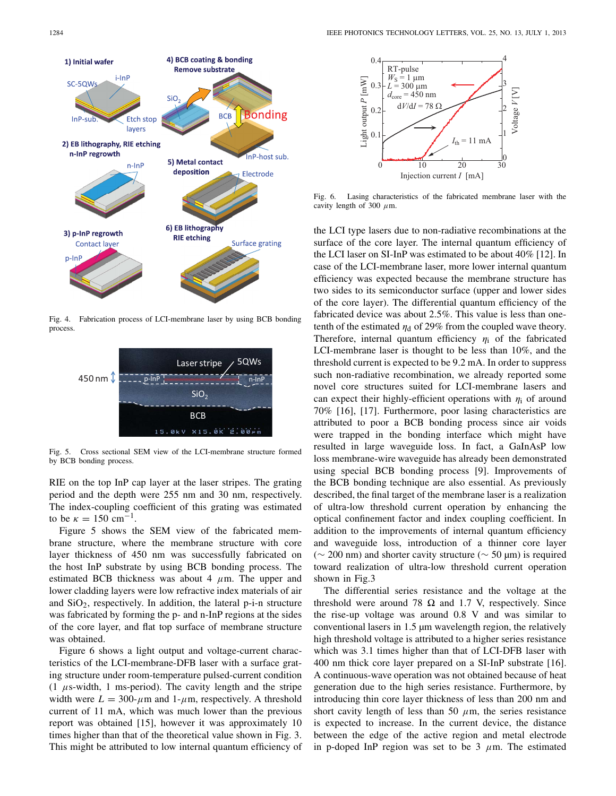

Fig. 4. Fabrication process of LCI-membrane laser by using BCB bonding process.



Fig. 5. Cross sectional SEM view of the LCI-membrane structure formed by BCB bonding process.

RIE on the top InP cap layer at the laser stripes. The grating period and the depth were 255 nm and 30 nm, respectively. The index-coupling coefficient of this grating was estimated to be  $\kappa = 150 \text{ cm}^{-1}$ .

Figure 5 shows the SEM view of the fabricated membrane structure, where the membrane structure with core layer thickness of 450 nm was successfully fabricated on the host InP substrate by using BCB bonding process. The estimated BCB thickness was about 4  $\mu$ m. The upper and lower cladding layers were low refractive index materials of air and  $SiO<sub>2</sub>$ , respectively. In addition, the lateral p-i-n structure was fabricated by forming the p- and n-InP regions at the sides of the core layer, and flat top surface of membrane structure was obtained.

Figure 6 shows a light output and voltage-current characteristics of the LCI-membrane-DFB laser with a surface grating structure under room-temperature pulsed-current condition  $(1 \mu s$ -width, 1 ms-period). The cavity length and the stripe width were  $L = 300$ - $\mu$ m and 1- $\mu$ m, respectively. A threshold current of 11 mA, which was much lower than the previous report was obtained [15], however it was approximately 10 times higher than that of the theoretical value shown in Fig. 3. This might be attributed to low internal quantum efficiency of



Fig. 6. Lasing characteristics of the fabricated membrane laser with the cavity length of 300  $\mu$ m.

the LCI type lasers due to non-radiative recombinations at the surface of the core layer. The internal quantum efficiency of the LCI laser on SI-InP was estimated to be about 40% [12]. In case of the LCI-membrane laser, more lower internal quantum efficiency was expected because the membrane structure has two sides to its semiconductor surface (upper and lower sides of the core layer). The differential quantum efficiency of the fabricated device was about 2.5%. This value is less than onetenth of the estimated  $\eta_d$  of 29% from the coupled wave theory. Therefore, internal quantum efficiency  $\eta_i$  of the fabricated LCI-membrane laser is thought to be less than 10%, and the threshold current is expected to be 9.2 mA. In order to suppress such non-radiative recombination, we already reported some novel core structures suited for LCI-membrane lasers and can expect their highly-efficient operations with  $\eta_i$  of around 70% [16], [17]. Furthermore, poor lasing characteristics are attributed to poor a BCB bonding process since air voids were trapped in the bonding interface which might have resulted in large waveguide loss. In fact, a GaInAsP low loss membrane-wire waveguide has already been demonstrated using special BCB bonding process [9]. Improvements of the BCB bonding technique are also essential. As previously described, the final target of the membrane laser is a realization of ultra-low threshold current operation by enhancing the optical confinement factor and index coupling coefficient. In addition to the improvements of internal quantum efficiency and waveguide loss, introduction of a thinner core layer (∼ 200 nm) and shorter cavity structure (∼ 50 µm) is required toward realization of ultra-low threshold current operation shown in Fig.3

The differential series resistance and the voltage at the threshold were around 78  $\Omega$  and 1.7 V, respectively. Since the rise-up voltage was around 0.8 V and was similar to conventional lasers in 1.5 µm wavelength region, the relatively high threshold voltage is attributed to a higher series resistance which was 3.1 times higher than that of LCI-DFB laser with 400 nm thick core layer prepared on a SI-InP substrate [16]. A continuous-wave operation was not obtained because of heat generation due to the high series resistance. Furthermore, by introducing thin core layer thickness of less than 200 nm and short cavity length of less than 50  $\mu$ m, the series resistance is expected to increase. In the current device, the distance between the edge of the active region and metal electrode in p-doped InP region was set to be  $3 \mu$ m. The estimated